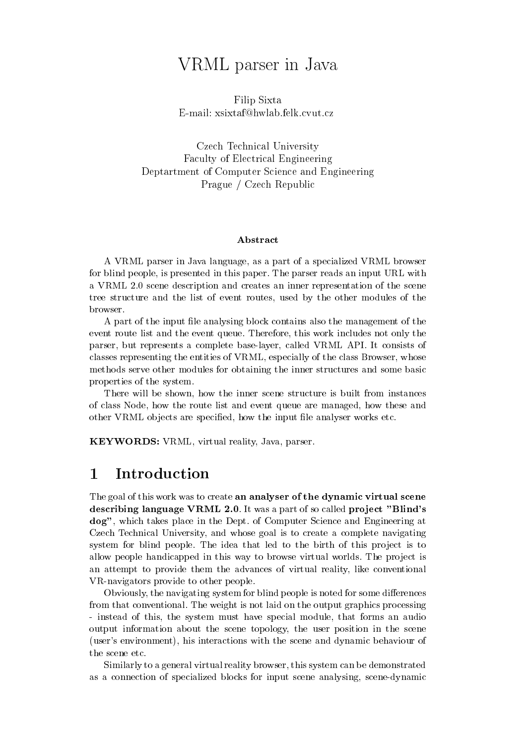# VRML parser in Java

Filip SixtaE-mail: xsixtaf@hwlab.felk.cvut.cz

Czech Technical University Faculty of Electrical Engineering Deptartment of Computer Science and Engineering Prague / Czech Republic

### Abstract

A VRML parser in Java language, as a part of a specialized VRML browser for blind people, is presented in this paper. The parser reads an input URL with a VRML 2.0 scene description and creates an inner representation of the scene tree structure and the list of event routes, used by the other modules of the browser.

A part of the input file analysing block contains also the management of the event route list and the event queue. Therefore, this work includes not only the parser, but represents a complete base-layer, called VRML API. It consists of classes representing the entities of VRML, especially of the class Browser, whose methods serve other modules for obtaining the inner structures and some basic properties of the system.

There will be shown, how the inner scene structure is built from instances of class Node, how the route list and event queue are managed, how these and other VRML objects are specified, how the input file analyser works etc.

KEYWORDS: VRML, virtual reality, Java, parser.

#### **Introduction**  $\mathbf{1}$

The goal of this work was to create an analyser of the dynamic virtual scene describing language VRML 2.0. It was a part of so called project "Blind's dog", which takes place in the Dept. of Computer Science and Engineering at Czech Technical University, and whose goal is to create a complete navigating system for blind people. The idea that led to the birth of this project is to allow people handicapped in this way to browse virtual worlds. The project is an attempt to provide them the advances of virtual reality, like conventional VR-navigators provide to other people.

Obviously, the navigating system for blind people is noted for some differences from that conventional. The weight is not laid on the output graphics processing - instead of this, the system must have special module, that forms an audio output information about the scene topology, the user position in the scene (user's environment), his interactions with the scene and dynamic behaviour of the scene etc.

Similarly to a general virtual reality browser, this system can be demonstrated as a connection of specialized blocks for input scene analysing, scene-dynamic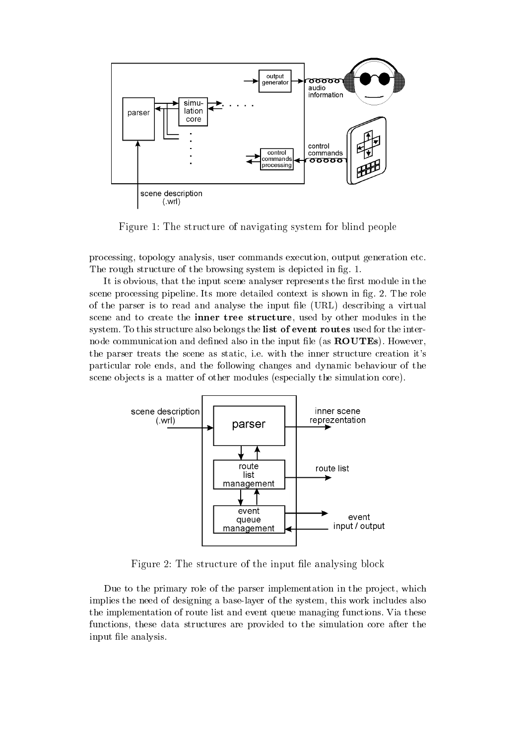

Figure 1: The structure of navigating system for blind people

processing, topology analysis, user commands execution, output generation etc. The rough structure of the browsing system is depicted in fig. 1.

It is obvious, that the input scene analyser represents the first module in the scene processing pipeline. Its more detailed context is shown in fig. 2. The role of the parser is to read and analyse the input le (URL) describing a virtual scene and to create the inner tree structure, used by other modules in the system. To this structure also belongs the list of event routes used for the internode communication and defined also in the input file (as **ROUTEs**). However, the parser treats the scene as static, i.e. with the inner structure creation it's particular role ends, and the following changes and dynamic behaviour of the scene objects is a matter of other modules (especially the simulation core).



 $\Gamma$  igure  $\Delta$ . The structure of the input ine analysing block

Due to the primary role of the parser implementation in the project, which implies the need of designing a base-layer of the system, this work includes also the implementation of route list and event queue managing functions. Via these functions, these data structures are provided to the simulation core after the input file analysis.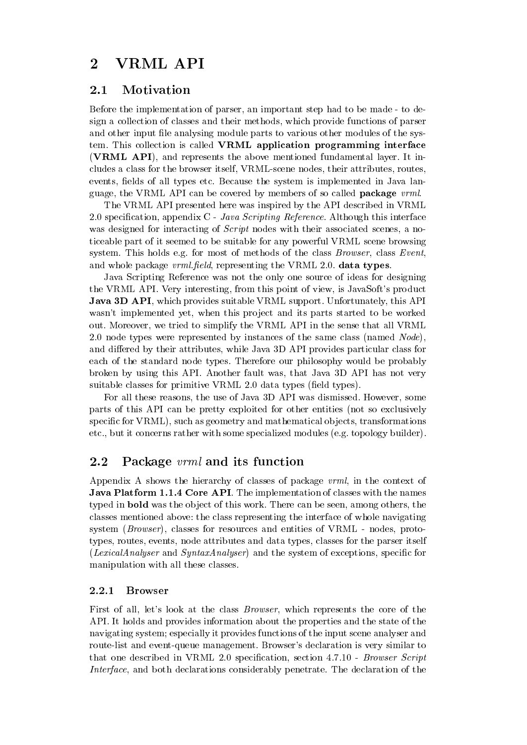#### $\overline{2}$ VRML API

## 2.1 Motivation

Before the implementation of parser, an important step had to be made - to design a collection of classes and their methods, which provide functions of parser and other input file analysing module parts to various other modules of the system. This collection is called VRML application programming interface (VRML API), and represents the above mentioned fundamental layer. It includes a class for the browser itself, VRML-scene nodes, their attributes, routes, events, fields of all types etc. Because the system is implemented in Java language, the VRML API can be covered by members of so called **package** *vrml*.

The VRML API presented here was inspired by the API described in VRML 2.0 specification, appendix  $C$  - Java Scripting Reference. Although this interface was designed for interacting of *Script* nodes with their associated scenes, a noticeable part of it seemed to be suitable for any powerful VRML scene browsing system. This holds e.g. for most of methods of the class Browser, class Event, and whole package  $vrm$ . field, representing the VRML 2.0. data types.

Java Scripting Reference was not the only one source of ideas for designing the VRML API. Very interesting, from this point of view, is JavaSoft's product **Java 3D API**, which provides suitable VRML support. Unfortunately, this API wasn't implemented yet, when this project and its parts started to be worked out. Moreover, we tried to simplify the VRML API in the sense that all VRML 2.0 node types were represented by instances of the same class (named  $Node$ ), and differed by their attributes, while Java 3D API provides particular class for each of the standard node types. Therefore our philosophy would be probably broken by using this API. Another fault was, that Java 3D API has not very suitable classes for primitive VRML 2.0 data types (field types).

For all these reasons, the use of Java 3D API was dismissed. However, some parts of this API can be pretty exploited for other entities (not so exclusively specific for VRML), such as geometry and mathematical objects, transformations etc., but it concerns rather with some specialized modules (e.g. topology builder).

## 2.2 Package *vrml* and its function

Appendix A shows the hierarchy of classes of package vrml, in the context of Java Platform 1.1.4 Core API. The implementation of classes with the names typed in **bold** was the object of this work. There can be seen, among others, the classes mentioned above: the class representing the interface of whole navigating system (Browser), classes for resources and entities of VRML - nodes, prototypes, routes, events, node attributes and data types, classes for the parser itself  $(LexicalAnalysiser and SyntaxAnalysis)$  and the system of exceptions, specific for manipulation with all these classes.

First of all, let's look at the class Browser, which represents the core of the API. It holds and provides information about the properties and the state of the navigating system; especially it provides functions of the input scene analyser and route-list and event-queue management. Browser's declaration is very similar to that one described in VRML 2.0 specification, section 4.7.10 - Browser Script Interface, and both declarations considerably penetrate. The declaration of the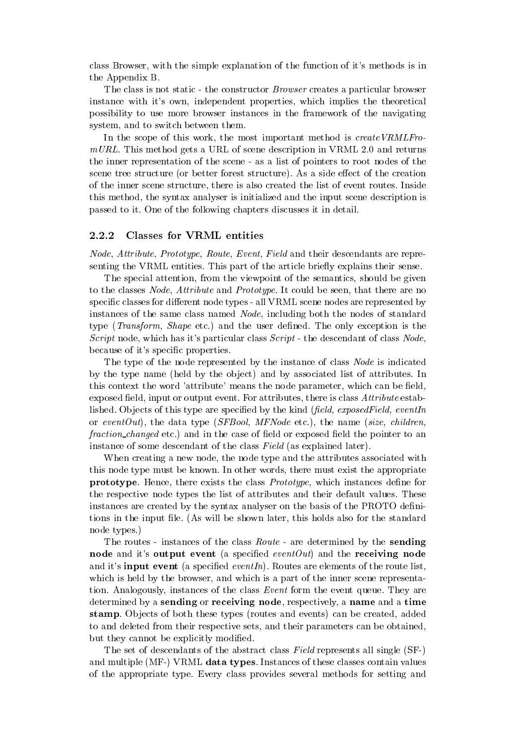class Browser, with the simple explanation of the function of it's methods is in the Appendix B.

The class is not static - the constructor Browser creates a particular browser instance with it's own, independent properties, which implies the theoretical possibility to use more browser instances in the framework of the navigating system, and to switch between them.

In the scope of this work, the most important method is create VRMLFro $mURL$ . This method gets a URL of scene description in VRML 2.0 and returns the inner representation of the scene - as a list of pointers to root nodes of the scene tree structure (or better forest structure). As a side effect of the creation of the inner scene structure, there is also created the list of event routes. Inside this method, the syntax analyser is initialized and the input scene description is passed to it. One of the following chapters discusses it in detail.

### 2.2.2 Classes for VRML entities

Node, Attribute, Prototype, Route, Event, Field and their descendants are representing the VRML entities. This part of the article briefly explains their sense.

The special attention, from the viewpoint of the semantics, should be given to the classes *Node*, *Attribute* and *Prototype*. It could be seen, that there are no specific classes for different node types - all VRML scene nodes are represented by instances of the same class named Node, including both the nodes of standard type (*Transform, Shape* etc.) and the user defined. The only exception is the Script node, which has it's particular class  $Script$ -the descendant of class  $Node$ , because of it's specic properties.

The type of the node represented by the instance of class *Node* is indicated by the type name (held by the object) and by associated list of attributes. In this context the word 'attribute' means the node parameter, which can be field, exposed field, input or output event. For attributes, there is class  $Attribute$  established. Objects of this type are specified by the kind  $(\text{field}, \text{exposedField}, \text{eventIn})$ or eventOut), the data type (SFBool, MFNode etc.), the name (size, children, fraction changed etc.) and in the case of field or exposed field the pointer to an instance of some descendant of the class Field (as explained later).

When creating a new node, the node type and the attributes associated with this node type must be known. In other words, there must exist the appropriate prototype. Hence, there exists the class *Prototype*, which instances define for the respective node types the list of attributes and their default values. These instances are created by the syntax analyser on the basis of the PROTO denitions in the input file. (As will be shown later, this holds also for the standard node types.)

The routes - instances of the class *Route* - are determined by the **sending** node and it's output event (a specified eventOut) and the receiving node and it's **input event** (a specified *eventIn*). Routes are elements of the route list, which is held by the browser, and which is a part of the inner scene representation. Analogously, instances of the class Event form the event queue. They are determined by a sending or receiving node, respectively, a name and a time stamp. Objects of both these types (routes and events) can be created, added to and deleted from their respective sets, and their parameters can be obtained, but they cannot be explicitly modified.

The set of descendants of the abstract class Field represents all single (SF-) and multiple (MF-) VRML data types. Instances of these classes contain values of the appropriate type. Every class provides several methods for setting and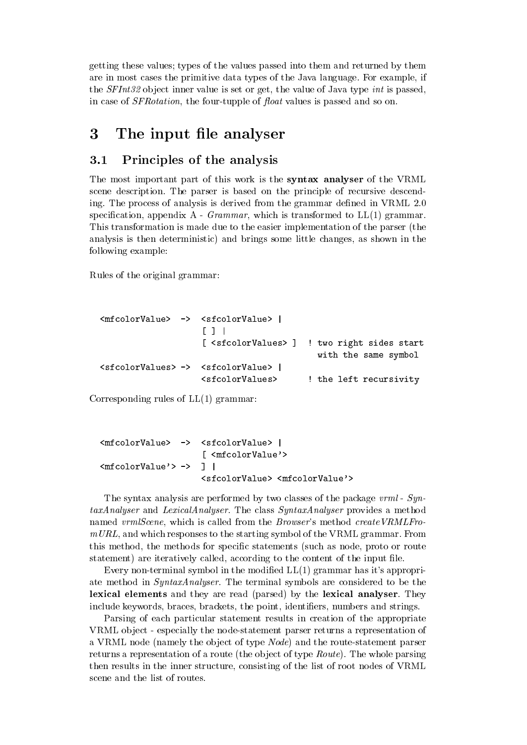getting these values; types of the values passed into them and returned by them are in most cases the primitive data types of the Java language. For example, if the  $SFInt32$  object inner value is set or get, the value of Java type int is passed, in case of *SFRotation*, the four-tupple of *float* values is passed and so on.

## 3 The input file analyser

## 3.1 Principles of the analysis

The most important part of this work is the **syntax analyser** of the VRML scene description. The parser is based on the principle of recursive descending. The process of analysis is derived from the grammar defined in VRML 2.0 specification, appendix  $A - Grammar$ , which is transformed to  $LL(1)$  grammar. This transformation is made due to the easier implementation of the parser (the analysis is then deterministic) and brings some little changes, as shown in the following example:

Rules of the original grammar:

```
<mfcolorValue> -> <sfcolorValue> |
                                                                        \blacksquare | \blacksquare | \blacksquare | \blacksquare | \blacksquare | \blacksquare | \blacksquare | \blacksquare | \blacksquare | \blacksquare | \blacksquare | \blacksquare | \blacksquare | \blacksquare | \blacksquare | \blacksquare | \blacksquare | \blacksquare | \blacksquare | \blacksquare | \blacksquare | \blacksquare | \blacksquare | \blacksquare | \blacksquare[ <sfcolorValues> ]
                                                                                                                                                   ! two right sides start
                                                                                                                                                            \ldots same symbols symbols symbols symbols symbols symbols symbols symbols symbols symbols symbols symbols symbols symbols symbols symbols symbols symbols symbols symbols symbols symbols symbols symbols symbols symbols sy
<sfcolorValues> -> <sfcolorValue> |
                                                                       <sfcolorValues> ! the left recursivity
```
Corresponding rules of LL(1) grammar:

```
<mfcolorValue>\rightarrow -> <sfcolorValue> |
                     [ <mfcolorValue'>
<sub>m</sub>footlorValue' > -></sub>
                  -> ] |
                     <sfcolorValue> <mfcolorValue'>
```
The syntax analysis are performed by two classes of the package vrml - SyntaxAnalyser and LexicalAnalyser. The class SyntaxAnalyser provides a method named vrmlScene, which is called from the Browser's method createVRMLFro $mURL$ , and which responses to the starting symbol of the VRML grammar. From this method, the methods for specific statements (such as node, proto or route statement) are iteratively called, according to the content of the input le.

Every non-terminal symbol in the modified  $LL(1)$  grammar has it's appropriate method in SyntaxAnalyser. The terminal symbols are considered to be the lexical elements and they are read (parsed) by the lexical analyser. They include keywords, braces, brackets, the point, identifiers, numbers and strings.

Parsing of each particular statement results in creation of the appropriate VRML ob ject - especially the node-statement parser returns a representation of a VRML node (namely the object of type *Node*) and the route-statement parser returns a representation of a route (the object of type *Route*). The whole parsing then results in the inner structure, consisting of the list of root nodes of VRML scene and the list of routes.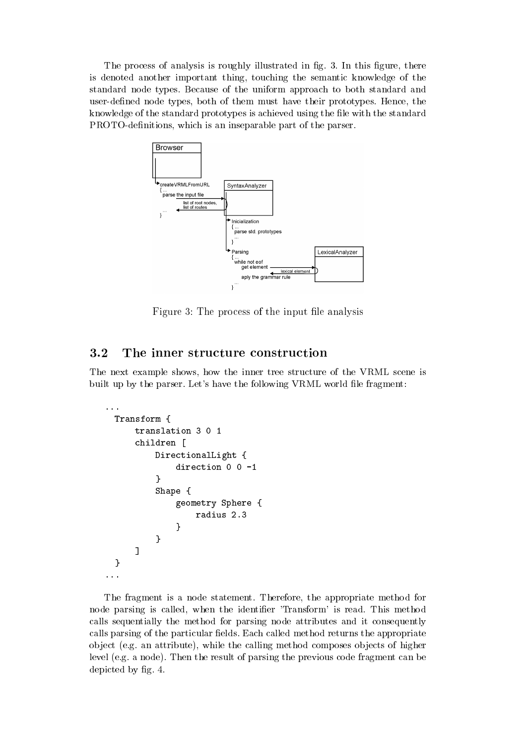The process of analysis is roughly illustrated in fig. 3. In this figure, there is denoted another important thing, touching the semantic knowledge of the standard node types. Because of the uniform approach to both standard and user-defined node types, both of them must have their prototypes. Hence, the knowledge of the standard prototypes is achieved using the file with the standard PROTO-definitions, which is an inseparable part of the parser.



Figure 9. The process of the input ine analysis  $\sim$ 

## 3.2 The inner structure construction

The next example shows, how the inner tree structure of the VRML scene is built up by the parser. Let's have the following VRML world file fragment:

```
T = T , T = T , T = T , T = T , T = T , T = T , T = T , T = T , T = T , T = T , T = T , T = T , T = T , T = T , T = T , T = T , T = T , T = T , T = T , T = T , T = T , T = T , T = T , T = T , T = T , T = T , T = T , T = Tchildren in the children control of the children control of the children control of the children control of the children control of the children control of the children control of the children control of the children contr
                                   DirectionalLight {
                                                 direction 0 0 -1
                                   }Shape {
                                                 geometry Sphere {
                                                               radius 2.3
                                                }}]}...
```
The fragment is a node statement. Therefore, the appropriate method for node parsing is called, when the identifier 'Transform' is read. This method calls sequentially the method for parsing node attributes and it consequently calls parsing of the particular fields. Each called method returns the appropriate ob ject (e.g. an attribute), while the calling method composes ob jects of higher level (e.g. a node). Then the result of parsing the previous code fragment can be depicted by fig. 4.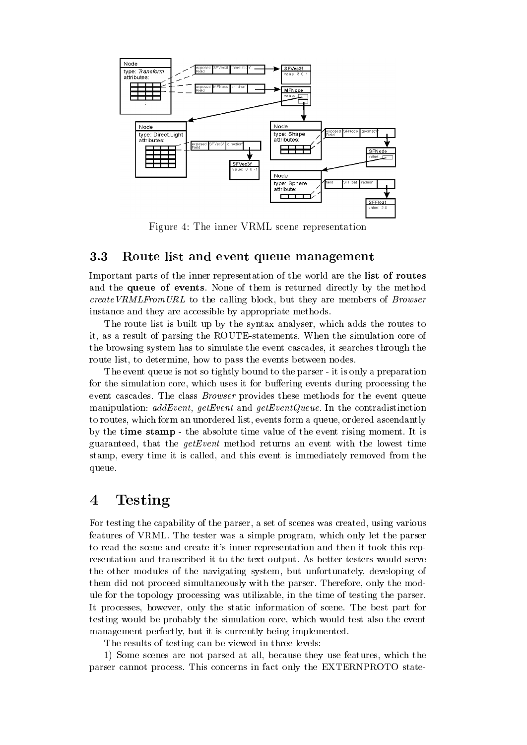

Figure 4: The inner VRML scene representation

## 3.3 Route list and event queue management

Important parts of the inner representation of the world are the list of routes and the queue of events. None of them is returned directly by the method createVRMLFromURL to the calling block, but they are members of Browser instance and they are accessible by appropriate methods.

The route list is built up by the syntax analyser, which adds the routes to it, as a result of parsing the ROUTE-statements. When the simulation core of the browsing system has to simulate the event cascades, it searches through the route list, to determine, how to pass the events between nodes.

The event queue is not so tightly bound to the parser - it is only a preparation for the simulation core, which uses it for buffering events during processing the event cascades. The class Browser provides these methods for the event queue manipulation:  $addEvent$ ,  $getEvent$  and  $getEventQueue$ . In the contradistinction to routes, which form an unordered list, events form a queue, ordered ascendantly by the time stamp - the absolute time value of the event rising moment. It is guaranteed, that the  $getEvent$  method returns an event with the lowest time stamp, every time it is called, and this event is immediately removed from the queue.

#### **Testing**  $\overline{4}$

For testing the capability of the parser, a set of scenes was created, using various features of VRML. The tester was a simple program, which only let the parser to read the scene and create it's inner representation and then it took this representation and transcribed it to the text output. As better testers would serve the other modules of the navigating system, but unfortunately, developing of them did not proceed simultaneously with the parser. Therefore, only the module for the topology processing was utilizable, in the time of testing the parser. It processes, however, only the static information of scene. The best part for testing would be probably the simulation core, which would test also the event management perfectly, but it is currently being implemented.

The results of testing can be viewed in three levels:

1) Some scenes are not parsed atall, because they use features, which the parser cannot process. This concerns in fact only the EXTERNPROTO state-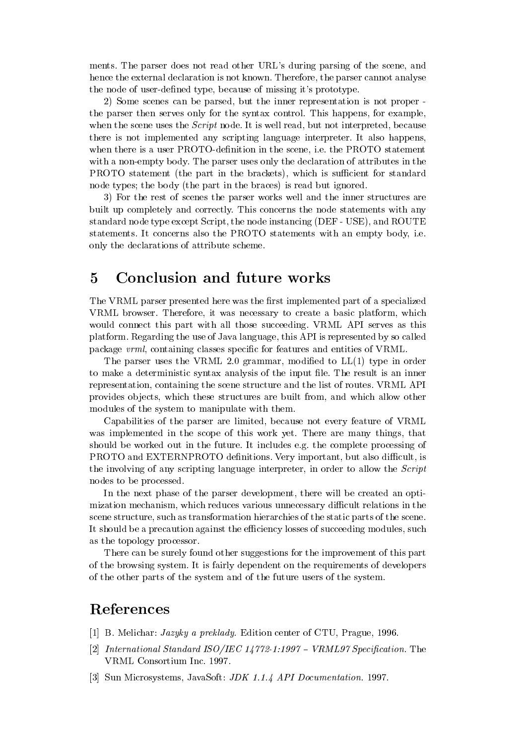ments. The parser does not read other URL's during parsing of the scene, and hence the external declaration is not known. Therefore, the parser cannot analyse the node of user-defined type, because of missing it's prototype.

2) Some scenes can be parsed, but the inner representation is not proper the parser then serves only for the syntax control. This happens, for example, when the scene uses the *Script* node. It is well read, but not interpreted, because there is not implemented any scripting language interpreter. It also happens, when there is a user PROTO-definition in the scene, i.e. the PROTO statement with a non-empty body. The parser uses only the declaration of attributes in the PROTO statement (the part in the brackets), which is sufficient for standard node types; the body (the part in the braces) is read but ignored.

3) For the rest of scenes the parser works well and the inner structures are built up completely and correctly. This concerns the node statements with any standard node type except Script, the node instancing (DEF - USE), and ROUTE statements. It concerns also the PROTO statements with an empty body, i.e. only the declarations of attribute scheme.

## 5 Conclusion and future works

The VRML parser presented here was the first implemented part of a specialized VRML browser. Therefore, it was necessary to create a basic platform, which would connect this part with all those succeeding. VRML API serves as this platform. Regarding the use of Java language, this API is represented by so called package vrml, containing classes specic for features and entities of VRML.

The parser uses the VRML 2.0 grammar, modified to  $LL(1)$  type in order to make a deterministic syntax analysis of the input file. The result is an inner representation, containing the scene structure and the list of routes. VRML API provides ob jects, which these structures are built from, and which allow other modules of the system to manipulate with them.

Capabilities of the parser are limited, because not every feature of VRML was implemented in the scope of this work yet. There are many things, that should be worked out in the future. It includes e.g. the complete processing of PROTO and EXTERNPROTO definitions. Very important, but also difficult, is the involving of any scripting language interpreter, in order to allow the Script nodes to be processed.

In the next phase of the parser development, there will be created an optimization mechanism, which reduces various unnecessary difficult relations in the scene structure, such as transformation hierarchies of the static parts of the scene. It should be a precaution against the efficiency losses of succeeding modules, such as the topology processor.

There can be surely found other suggestions for the improvement of this part of the browsing system. It is fairly dependent on the requirements of developers of the other parts of the system and of the future users of the system.

## References

- [1] B. Melichar: Jazyky a preklady. Edition center of CTU, Prague, 1996.
- [2] International Standard ISO/IEC 14772-1:1997 VRML97 Specification. The VRML Consortium Inc. 1997.
- [3] Sun Microsystems, JavaSoft: JDK 1.1.4 API Documentation. 1997.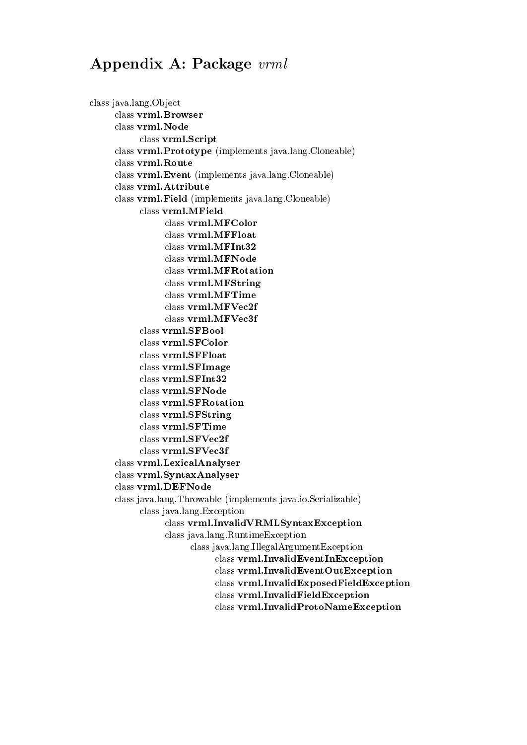## Appendix A: Package vrml

class java.lang.Object class vrml.Browser class vrml.Script class vrml.Prototype (implements java.lang.Cloneable) class vrml.Route class vrml.Event (implements java.lang.Cloneable) class vrml.Attribute class vrml.Field (implements java.lang.Cloneable) class vrml.MField class vrml.MFColor class vrml.MFFloat class vrml.MFInt32 class vrml.MFNode class vrml.MFRotation class vrml.MFString class vrml.MFTime class vrml.MFVec2f class vrml.MFVec3f class vrml.SFBool class vrml.SFColor class vrml.SFFloat class vrml.SFImage class vrml.SFInt32 class vrml.SFNode class vrml.SFRotation class vrml.SFString class vrml.SFTime class vrml.SFVec2f class vrml.SFVec3f class vrml.LexicalAnalyser class vrml.SyntaxAnalyser class vrml.DEFNode class java.lang.Throwable (implements java.io.Serializable) class java.lang.Exception class vrml.InvalidVRMLSyntaxException class java.lang.RuntimeException class java.lang.IllegalArgumentException class vrml.InvalidEventInException class vrml.InvalidEventOutException class vrml.InvalidExposedFieldException class vrml.InvalidFieldException class vrml.InvalidProtoNameException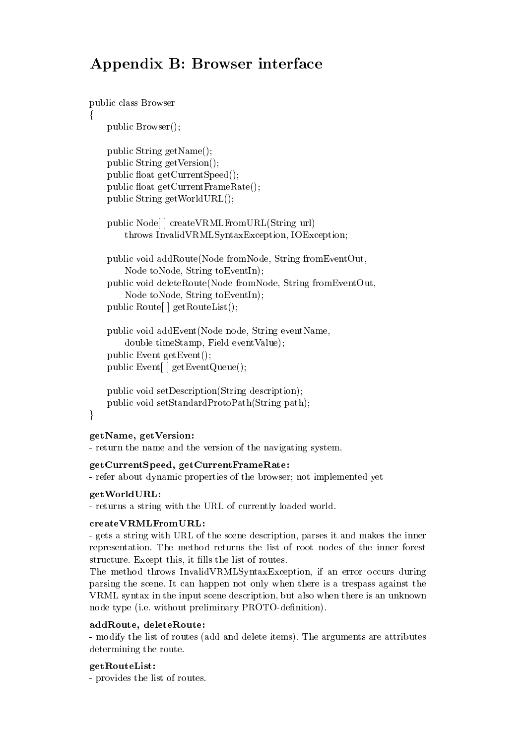## Appendix B: Browser interface

```
public class Browser
\{public Browser();
    public String getName();
    public String getVersion();
    public float getCurrentSpeed();
    public float getCurrentFrameRate();
    public String getWorldURL();
    public Node[ ] createVRMLFromURL(String url)
        throws InvalidVRMLSyntaxException, IOException;
    public void addRoute(Node fromNode, String fromEventOut,
       Node toNode, String toEventIn);
    public void deleteRoute(Node fromNode, String fromEventOut,
       Node toNode, String toEventIn);
    public Route[ ] getRouteList();
    public void addEvent(Node node, String eventName,
       double timeStamp, Field eventValue);
    public Event getEvent();
    public Event[ ] getEventQueue();
```

```
public void setDescription(String description);
public void setStandardProtoPath(String path);
```
## $\}$

## getName, getVersion:

- return the name and the version of the navigating system.

getCurrentSpeed, getCurrentFrameRate: - refer about dynamic properties of the browser; not implemented yet

#### get World URL: getWorldURL:

- returns a string with the URL of currently loaded world.

## $createVRMLFromURL:$

- gets a string with URL of the scene description, parses it and makes the inner representation. The method returns the list of root nodes of the inner forest structure. Except this, it fills the list of routes.

The method throws InvalidVRMLSyntaxException, if an error occurs during parsing the scene. It can happen not only when there is a trespass against the VRML syntax in the input scene description, but also when there is an unknown node type (i.e. without preliminary PROTO-definition).

### addRoute, deleteRoute:

- modify the list of routes (add and delete items). The arguments are attributes determining the route.

## getRouteList:

- provides the list of routes.